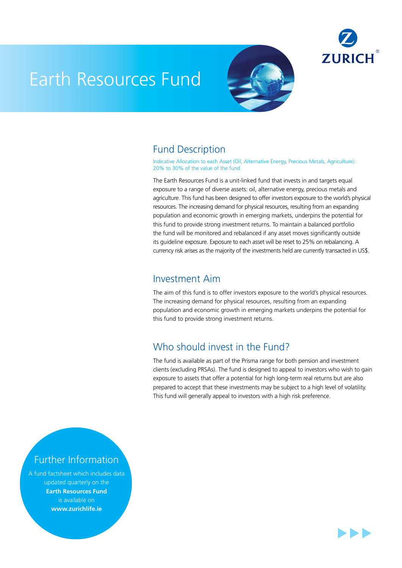

# Earth Resources Fund



### Fund Description

Indicative Allocation to each Asset (Oil, Alternative Energy, Precious Metals, Agriculture): 20% to 30% of the value of the fund

The Earth Resources Fund is a unit-linked fund that invests in and targets equal exposure to a range of diverse assets: oil, alternative energy, precious metals and agriculture. This fund has been designed to offer investors exposure to the world's physical resources. The increasing demand for physical resources, resulting from an expanding population and economic growth in emerging markets, underpins the potential for this fund to provide strong investment returns. To maintain a balanced portfolio the fund will be monitored and rebalanced if any asset moves significantly outside its guideline exposure. Exposure to each asset will be reset to 25% on rebalancing. A currency risk arises as the majority of the investments held are currently transacted in US\$.

#### Investment Aim

The aim of this fund is to offer investors exposure to the world's physical resources. The increasing demand for physical resources, resulting from an expanding population and economic growth in emerging markets underpins the potential for this fund to provide strong investment returns.

## Who should invest in the Fund?

The fund is available as part of the Prisma range for both pension and investment clients (excluding PRSAs). The fund is designed to appeal to investors who wish to gain exposure to assets that offer a potential for high long-term real returns but are also prepared to accept that these investments may be subject to a high level of volatility. This fund will generally appeal to investors with a high risk preference.

### Further Information

A fund factsheet which includes data updated quarterly on the **Earth Resources Fund** is available on **www.zurichlife.ie**